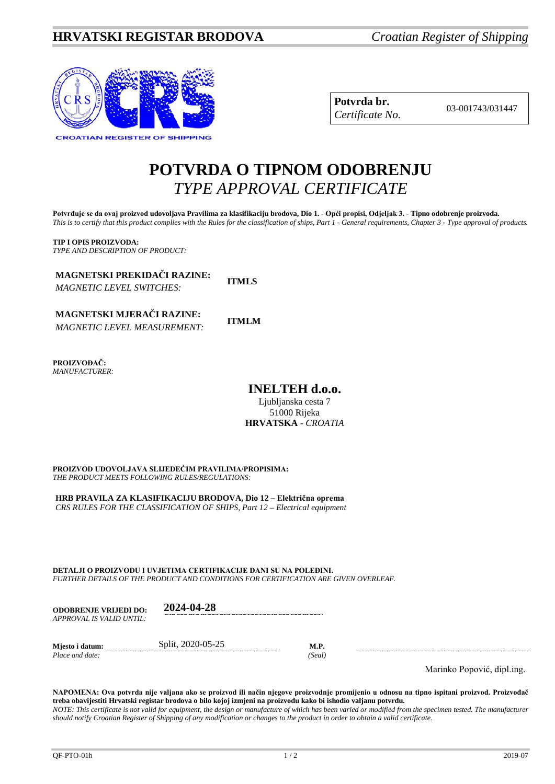# **HRVATSKI REGISTAR BRODOVA** *Croatian Register of Shipping*



| Potvrda br.     |
|-----------------|
| Certificate No. |

**Potvrda br.** 03-001743/031447 *Certificate No.*

# **POTVRDA O TIPNOM ODOBRENJU** *TYPE APPROVAL CERTIFICATE*

**Potvrđuje se da ovaj proizvod udovoljava Pravilima za klasifikaciju brodova, Dio 1. - Opći propisi, Odjeljak 3. - Tipno odobrenje proizvoda.** *This is to certify that this product complies with the Rules for the classification of ships, Part 1 - General requirements, Chapter 3 - Type approval of products.*

**TIP I OPIS PROIZVODA:** *TYPE AND DESCRIPTION OF PRODUCT:*

**MAGNETSKI PREKIDAČI RAZINE:** *MAGNETIC LEVEL SWITCHES:*

**ITMLS**

**MAGNETSKI MJERAČI RAZINE: ITMLM** *MAGNETIC LEVEL MEASUREMENT:*

**PROIZVOĐAČ:** *MANUFACTURER:*

**INELTEH d.o.o.**

Ljubljanska cesta 7 51000 Rijeka **HRVATSKA** - *CROATIA*

**PROIZVOD UDOVOLJAVA SLIJEDEĆIM PRAVILIMA/PROPISIMA:** *THE PRODUCT MEETS FOLLOWING RULES/REGULATIONS:*

**HRB PRAVILA ZA KLASIFIKACIJU BRODOVA, Dio 12 – Električna oprema** *CRS RULES FOR THE CLASSIFICATION OF SHIPS, Part 12 – Electrical equipment*

**DETALJI O PROIZVODU I UVJETIMA CERTIFIKACIJE DANI SU NA POLEĐINI.** *FURTHER DETAILS OF THE PRODUCT AND CONDITIONS FOR CERTIFICATION ARE GIVEN OVERLEAF.*

| <b>ODOBRENJE VRLJEDI DO:</b> | 2024-04-28        |        |  |
|------------------------------|-------------------|--------|--|
| APPROVAL IS VALID UNTIL:     |                   |        |  |
| Miesto i datum:              | Split, 2020-05-25 | M.P.   |  |
| Place and date:              |                   | (Seal) |  |

Marinko Popović, dipl.ing.

**NAPOMENA: Ova potvrda nije valjana ako se proizvod ili način njegove proizvodnje promijenio u odnosu na tipno ispitani proizvod. Proizvođač treba obavijestiti Hrvatski registar brodova o bilo kojoj izmjeni na proizvodu kako bi ishodio valjanu potvrdu.**

*NOTE: This certificate is not valid for equipment, the design or manufacture of which has been varied or modified from the specimen tested. The manufacturer should notify Croatian Register of Shipping of any modification or changes to the product in order to obtain a valid certificate.*